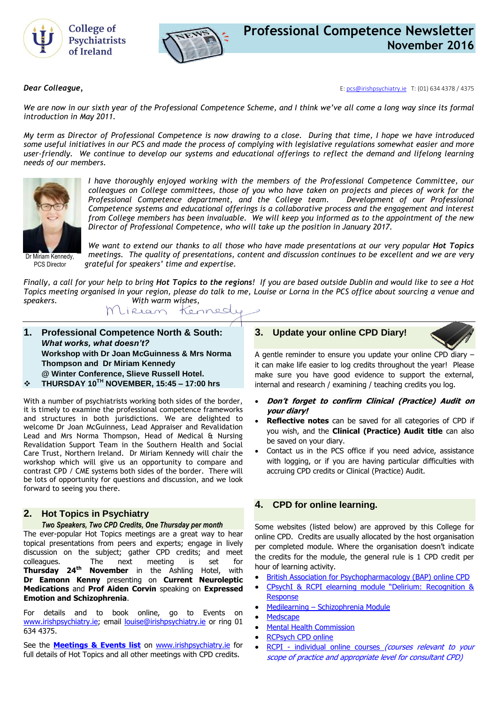



*Dear Colleague,* E[: pcs@irishpsychiatry.ie](mailto:pcs@irishpsychiatry.ie) T: (01) 634 4378 / 4375

*We are now in our sixth year of the Professional Competence Scheme, and I think we've all come a long way since its formal introduction in May 2011.* 

*My term as Director of Professional Competence is now drawing to a close. During that time, I hope we have introduced some useful initiatives in our PCS and made the process of complying with legislative regulations somewhat easier and more user-friendly. We continue to develop our systems and educational offerings to reflect the demand and lifelong learning needs of our members.* 



*I have thoroughly enjoyed working with the members of the Professional Competence Committee, our colleagues on College committees, those of you who have taken on projects and pieces of work for the Professional Competence department, and the College team. Development of our Professional Competence systems and educational offerings is a collaborative process and the engagement and interest from College members has been invaluable. We will keep you informed as to the appointment of the new Director of Professional Competence, who will take up the position in January 2017.*

Dr Miriam Kennedy, PCS Director

*We want to extend our thanks to all those who have made presentations at our very popular Hot Topics meetings. The quality of presentations, content and discussion continues to be excellent and we are very grateful for speakers' time and expertise.* 

*Finally, a call for your help to bring Hot Topics to the regions! If you are based outside Dublin and would like to see a Hot Topics meeting organised in your region, please do talk to me, Louise or Lorna in the PCS office about sourcing a venue and speakers. With warm wishes,*

Kennedy Wlikeam

- **1. Professional Competence North & South:**  *What works, what doesn't?* **Workshop with Dr Joan McGuinness & Mrs Norma Thompson and Dr Miriam Kennedy @ Winter Conference, Slieve Russell Hotel.**
- **THURSDAY 10TH NOVEMBER, 15:45 – 17:00 hrs**

With a number of psychiatrists working both sides of the border, it is timely to examine the professional competence frameworks and structures in both jurisdictions. We are delighted to welcome Dr Joan McGuinness, Lead Appraiser and Revalidation Lead and Mrs Norma Thompson, Head of Medical & Nursing Revalidation Support Team in the Southern Health and Social Care Trust, Northern Ireland. Dr Miriam Kennedy will chair the workshop which will give us an opportunity to compare and contrast CPD / CME systems both sides of the border. There will be lots of opportunity for questions and discussion, and we look forward to seeing you there.

### **2. Hot Topics in Psychiatry**

#### *Two Speakers, Two CPD Credits, One Thursday per month*

The ever-popular Hot Topics meetings are a great way to hear topical presentations from peers and experts; engage in lively discussion on the subject; gather CPD credits; and meet colleagues. The next meeting is set for<br> **Thursday 24<sup>th</sup> November** in the Ashling Hotel, with **November** in the Ashling Hotel, with **Dr Eamonn Kenny** presenting on **Current Neuroleptic Medications** and **Prof Aiden Corvin** speaking on **Expressed Emotion and Schizophrenia**.

For details and to book online, go to Events on [www.irishpsychiatry.ie;](http://www.irishpsychiatry.ie/) email [louise@irishpsychiatry.ie](mailto:louise@irishpsychiatry.ie) or ring 01 634 4375.

See the **[Meetings & Events list](http://irishpsychiatry.ie/Home/Upcomingeventsandcourses.aspx)** on [www.irishpsychiatry.ie](http://www.irishpsychiatry.ie/) for full details of Hot Topics and all other meetings with CPD credits.

### **3. [Update your online CPD](http://collegeofpsychiatryireland.newsweaver.co.uk/newsletter/1bcdch2t8xl13d8mgyqtf4?a=1&p=33459695&t=18724804) Diary!**



A gentle reminder to ensure you update your online CPD diary – it can make life easier to log credits throughout the year! Please make sure you have good evidence to support the external, internal and research / examining / teaching credits you log.

- **Don't forget to confirm Clinical (Practice) Audit on your diary!**
- **Reflective notes** can be saved for all categories of CPD if you wish, and the **Clinical (Practice) Audit title** can also be saved on your diary.
- Contact us in the PCS office if you need advice, assistance with logging, or if you are having particular difficulties with accruing CPD credits or Clinical (Practice) Audit.

### **4. [CPD for online learning.](http://collegeofpsychiatryireland.newsweaver.co.uk/newsletter/1bcdch2t8xl13d8mgyqtf4?a=1&p=33459695&t=18724804)**

Some websites (listed below) are approved by this College for online CPD. Credits are usually allocated by the host organisation per completed module. Where the organisation doesn't indicate the credits for the module, the general rule is 1 CPD credit per hour of learning activity.

- [British Association for Psychopharmacology \(BAP\)](http://www.bap.org.uk/onlinecpd.php) online CPD
- [CPsychI & RCPI elearning module "Delirium:](http://elearning.irishpsychiatry.ie/login/index.php) Recognition & **[Response](http://elearning.irishpsychiatry.ie/login/index.php)**
- Medilearning [Schizophrenia Module](http://medilearning.ie/module.aspx?contentid=70687)
- **[Medscape](http://www.medscape.org/)**
- **[Mental Health Commission](http://mhc.thelearningcentre.ie/)**
- [RCPsych CPD online](http://www.psychiatrycpd.co.uk/)
- RCPI individual online courses *(courses relevant to your* scope of practice and appropriate level for consultant CPD)